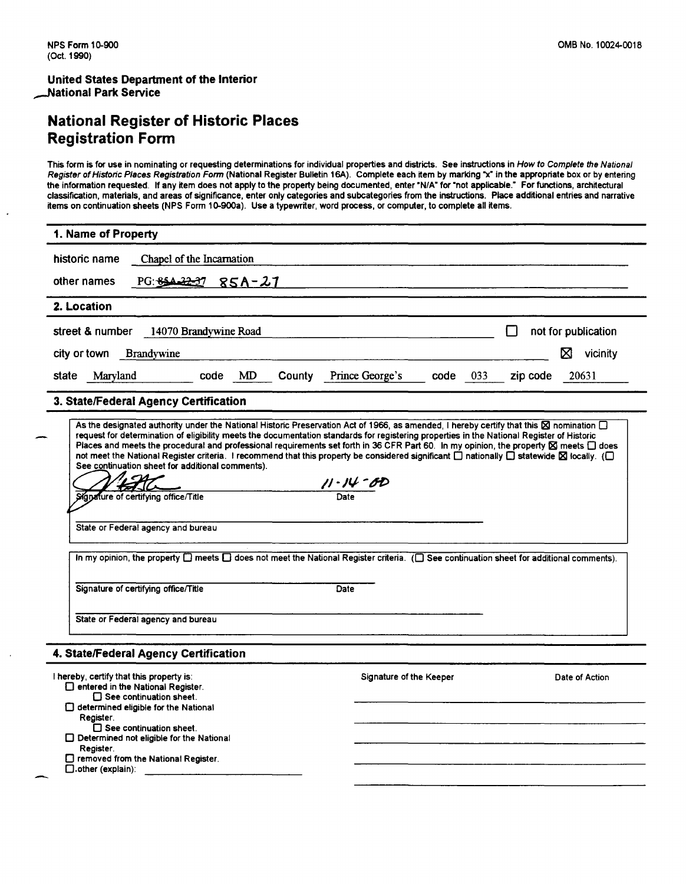### National Register of Historic Places Registration Form

This form is for use in nominating or requesting determinations for individual properties and districts. See instructions in How to Complete the National Register of Historic Places Registration Form (National Register Bulletin 16A). Complete each item by marking "x" in the appropriate box or by entering the information requested. If any item does not apply to the property being documented, enter "N/A" for "not applicable." For functions, architectural classification, materials, and areas of significance, enter only categories and subcategories from the instructions. Place additional entries and narrative items on continuation sheets (NPS Form 10-900a). Use a typewriter, word process, or computer, to complete all items.

| 1. Name of Property                                                                                                                                                                                                                                                                                                                                                                                                                                                                                                                                                                                                                                                                                                                                                                                                                                                                               |                           |                                       |
|---------------------------------------------------------------------------------------------------------------------------------------------------------------------------------------------------------------------------------------------------------------------------------------------------------------------------------------------------------------------------------------------------------------------------------------------------------------------------------------------------------------------------------------------------------------------------------------------------------------------------------------------------------------------------------------------------------------------------------------------------------------------------------------------------------------------------------------------------------------------------------------------------|---------------------------|---------------------------------------|
| Chapel of the Incarnation<br>historic name                                                                                                                                                                                                                                                                                                                                                                                                                                                                                                                                                                                                                                                                                                                                                                                                                                                        |                           |                                       |
| PG: 854-32-37<br>85A-27<br>other names                                                                                                                                                                                                                                                                                                                                                                                                                                                                                                                                                                                                                                                                                                                                                                                                                                                            |                           |                                       |
| 2. Location                                                                                                                                                                                                                                                                                                                                                                                                                                                                                                                                                                                                                                                                                                                                                                                                                                                                                       |                           |                                       |
| street & number<br>14070 Brandywine Road                                                                                                                                                                                                                                                                                                                                                                                                                                                                                                                                                                                                                                                                                                                                                                                                                                                          |                           | not for publication<br>$\blacksquare$ |
| city or town<br><b>Brandywine</b>                                                                                                                                                                                                                                                                                                                                                                                                                                                                                                                                                                                                                                                                                                                                                                                                                                                                 |                           | ⊠<br>vicinity                         |
| County Prince George's<br>Maryland<br>code<br>MD<br>state                                                                                                                                                                                                                                                                                                                                                                                                                                                                                                                                                                                                                                                                                                                                                                                                                                         | code<br>033               | 20631<br>zip code                     |
| 3. State/Federal Agency Certification                                                                                                                                                                                                                                                                                                                                                                                                                                                                                                                                                                                                                                                                                                                                                                                                                                                             |                           |                                       |
| As the designated authority under the National Historic Preservation Act of 1966, as amended, I hereby certify that this X nomination [<br>request for determination of eligibility meets the documentation standards for registering properties in the National Register of Historic<br>Places and meets the procedural and professional requirements set forth in 36 CFR Part 60. In my opinion, the property ⊠ meets □ does<br>not meet the National Register criteria. I recommend that this property be considered significant [ ] nationally [ ] statewide $\boxtimes$ locally. ( [ ]<br>See continuation sheet for additional comments).<br>Signature of certifying office/Title<br>State or Federal agency and bureau<br>In my opinion, the property $\square$ meets $\square$ does not meet the National Register criteria. ( $\square$ See continuation sheet for additional comments). | $\frac{11.14 - BD}{Date}$ |                                       |
| Signature of certifying office/Title<br>Date                                                                                                                                                                                                                                                                                                                                                                                                                                                                                                                                                                                                                                                                                                                                                                                                                                                      |                           |                                       |
| State or Federal agency and bureau                                                                                                                                                                                                                                                                                                                                                                                                                                                                                                                                                                                                                                                                                                                                                                                                                                                                |                           |                                       |
| 4. State/Federal Agency Certification                                                                                                                                                                                                                                                                                                                                                                                                                                                                                                                                                                                                                                                                                                                                                                                                                                                             |                           |                                       |
| I hereby, certify that this property is:<br>$\Box$ entered in the National Register.<br>$\square$ See continuation sheet.<br>$\Box$ determined eligible for the National<br>Register.<br>$\square$ See continuation sheet.<br>$\Box$ Determined not eligible for the National<br>Register.<br>□ removed from the National Register.<br>$\Box$ .other (explain):                                                                                                                                                                                                                                                                                                                                                                                                                                                                                                                                   | Signature of the Keeper   | Date of Action                        |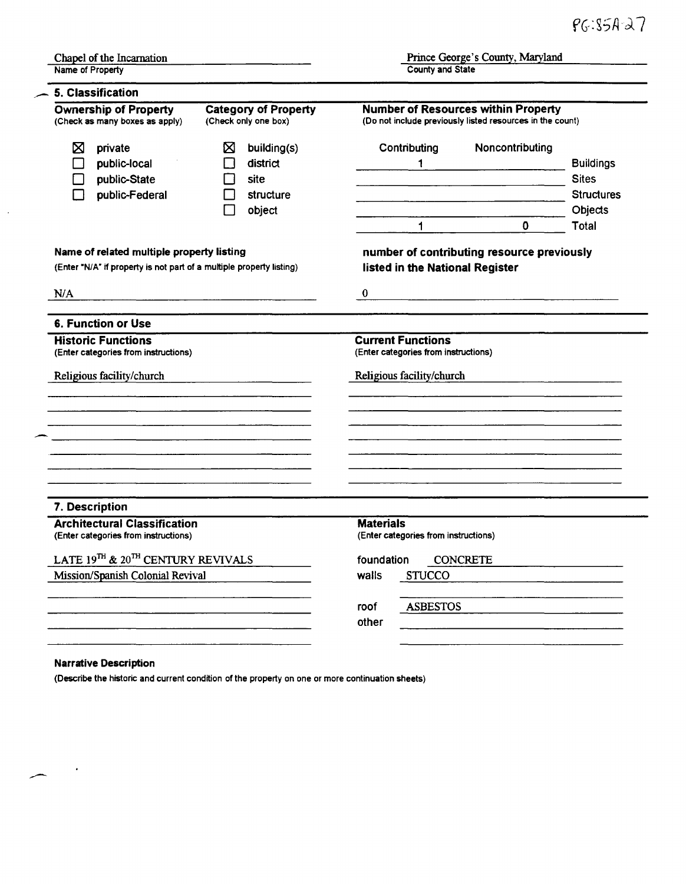| Name of Property                                                            |                                                                                                                      | Prince George's County, Maryland<br><b>County and State</b> |                                                                                                         |                                                                           |
|-----------------------------------------------------------------------------|----------------------------------------------------------------------------------------------------------------------|-------------------------------------------------------------|---------------------------------------------------------------------------------------------------------|---------------------------------------------------------------------------|
| 5. Classification                                                           |                                                                                                                      |                                                             |                                                                                                         |                                                                           |
| <b>Ownership of Property</b><br>(Check as many boxes as apply)              | <b>Category of Property</b><br>(Check only one box)                                                                  |                                                             | <b>Number of Resources within Property</b><br>(Do not include previously listed resources in the count) |                                                                           |
| Χ<br>private<br>public-local<br>public-State<br>public-Federal              | ⊠<br>building(s)<br>district<br>site<br>structure<br>object                                                          | Contributing<br>1<br>$\mathbf 1$                            | Noncontributing<br>$\mathbf{0}$                                                                         | <b>Buildings</b><br><b>Sites</b><br><b>Structures</b><br>Objects<br>Total |
| Name of related multiple property listing                                   |                                                                                                                      |                                                             | number of contributing resource previously                                                              |                                                                           |
| (Enter "N/A" if property is not part of a multiple property listing)        |                                                                                                                      | listed in the National Register                             |                                                                                                         |                                                                           |
| N/A                                                                         | <u> 1989 - Jan James Barnett, mars et al. 1989 - a seu anno 1989 - a seu anno 1989 - a seu anno 1989 - a seu ann</u> | $\bf{0}$                                                    |                                                                                                         |                                                                           |
|                                                                             |                                                                                                                      |                                                             |                                                                                                         |                                                                           |
| <b>6. Function or Use</b><br><b>Historic Functions</b>                      |                                                                                                                      | <b>Current Functions</b>                                    |                                                                                                         |                                                                           |
| (Enter categories from instructions)                                        |                                                                                                                      | (Enter categories from instructions)                        |                                                                                                         |                                                                           |
|                                                                             |                                                                                                                      |                                                             |                                                                                                         |                                                                           |
| Religious facility/church                                                   |                                                                                                                      | Religious facility/church                                   |                                                                                                         |                                                                           |
|                                                                             |                                                                                                                      |                                                             |                                                                                                         |                                                                           |
|                                                                             |                                                                                                                      |                                                             |                                                                                                         |                                                                           |
|                                                                             |                                                                                                                      |                                                             |                                                                                                         |                                                                           |
| 7. Description                                                              |                                                                                                                      |                                                             |                                                                                                         |                                                                           |
| <b>Architectural Classification</b><br>(Enter categories from instructions) |                                                                                                                      | <b>Materials</b><br>(Enter categories from instructions)    |                                                                                                         |                                                                           |
| LATE 19TH & 20TH CENTURY REVIVALS                                           |                                                                                                                      | foundation                                                  | <b>CONCRETE</b>                                                                                         |                                                                           |
| Mission/Spanish Colonial Revival                                            |                                                                                                                      | walls<br><b>STUCCO</b>                                      |                                                                                                         |                                                                           |
|                                                                             |                                                                                                                      | <b>ASBESTOS</b><br>roof                                     |                                                                                                         |                                                                           |

### Narrative Description

 $\sim$   $\sim$ 

 $\overline{\phantom{a}}$ 

(Describe the historic and current condition of the property on one or more continuation sheets)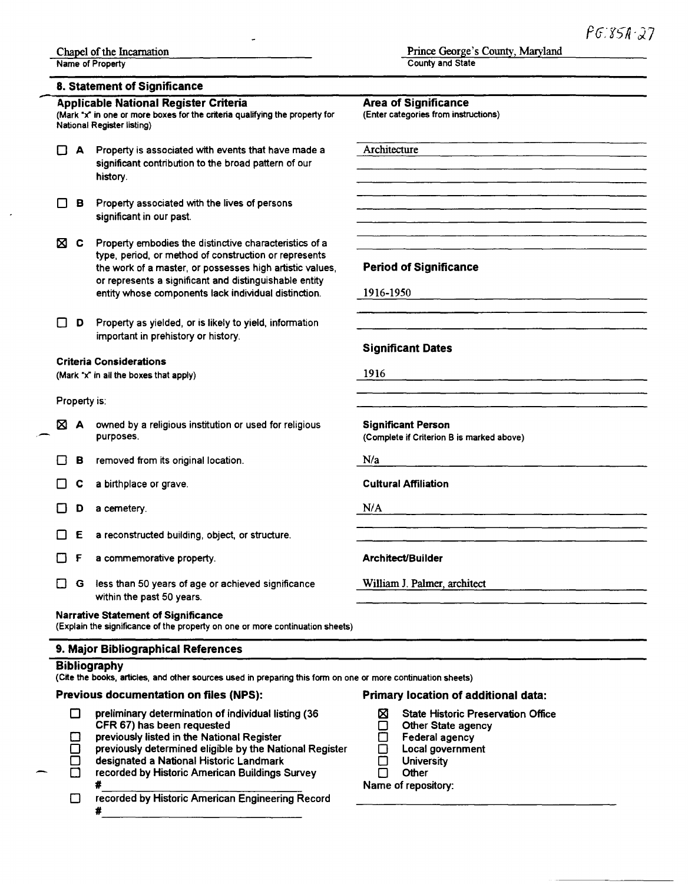#### 8. Statement of Significance

#### .- Applicable National Register Criteria (Mark "x" in one or more boxes for the criteria qualifying the property for National Register listing)  $\Box$  A Property is associated with events that have made a significant contribution to the broad pattern of our history.  $\Box$  B Property associated with the lives of persons significant in our past.  $\boxtimes$  C Property embodies the distinctive characteristics of a type, period, or method of construction or represents the work of a master, or possesses high artistic values, or represents a significant and distinguishable entity entity whose components lack individual distinction.  $\Box$  **D** Property as yielded, or is likely to yield, information important in prehistory or history. Criteria Considerations (Mark "x" in all the boxes that apply) Property is:  $\boxtimes$  A owned by a religious institution or used for religious purposes.  $\Box$  **B** removed from its original location.  $\Box$  C a birthplace or grave. D a cemetery.  $\Box$  **E** a reconstructed building, object, or structure. 0 F a commemorative property.  $\Box$  G less than 50 years of age or achieved significance within the past 50 years. Narrative statement of Significance (Explain the significance of the property on one or more continuation sheets) 9. Major Bibliographical References **Bibliography** Area of Significance (Enter categories from instructions) Architecture Period of Significance 1916-1950 Significant Dates 1916 Significant Person (Complete if Criterion Bis marked above)  $N/a$ Cultural Affiliation NIA Architect/Builder William J. Palmer, architect (Cite the books, articles, and other sources used in preparing this form on one or more continuation sheets) Primary location of additional data:

#### Previous documentation on files (NPS):

| preliminary determination of individual listing (36<br><b>State Historic Preservation Office</b><br>CFR 67) has been requested<br>Other State agency |  |
|------------------------------------------------------------------------------------------------------------------------------------------------------|--|
| previously listed in the National Register<br>Federal agency                                                                                         |  |
| previously determined eligible by the National Register<br>Local government                                                                          |  |
| designated a National Historic Landmark<br>University                                                                                                |  |
| recorded by Historic American Buildings Survey<br>Other                                                                                              |  |
| Name of repository:                                                                                                                                  |  |
| recorded by Historic American Engineering Record                                                                                                     |  |
|                                                                                                                                                      |  |

Prince George's County, Maryland

County and State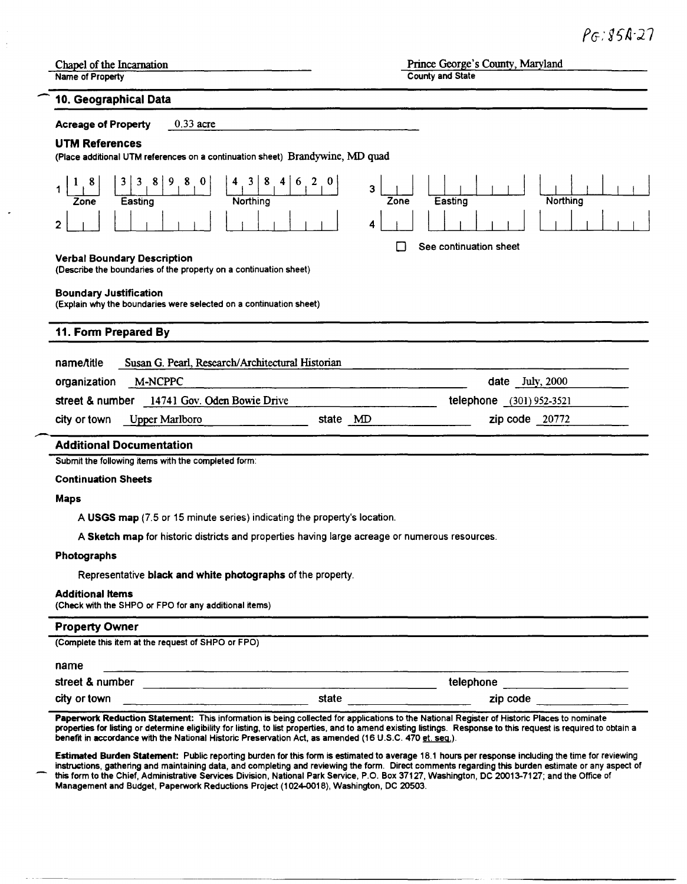| Chapel of the Incarnation                                                                                                                                              | Prince George's County, Maryland                                        |  |  |
|------------------------------------------------------------------------------------------------------------------------------------------------------------------------|-------------------------------------------------------------------------|--|--|
| Name of Property                                                                                                                                                       | <b>County and State</b>                                                 |  |  |
| 10. Geographical Data                                                                                                                                                  |                                                                         |  |  |
| $0.33$ acre<br><b>Acreage of Property</b>                                                                                                                              |                                                                         |  |  |
| <b>UTM References</b>                                                                                                                                                  |                                                                         |  |  |
| (Place additional UTM references on a continuation sheet) Brandywine, MD quad                                                                                          |                                                                         |  |  |
| 8<br>$1 \quad 8$<br>8<br>$\vert 0 \vert$<br>$4 \quad 3$<br>$\overline{4}$<br>6<br>3 <sup>1</sup><br>$\overline{\mathbf{3}}$<br>8 9<br>Northing<br>Easting<br>Zone<br>2 | 2 <sup>1</sup><br>$\mathbf{0}$<br>3<br>Northing<br>Zone<br>Easting<br>4 |  |  |
|                                                                                                                                                                        | See continuation sheet                                                  |  |  |
| <b>Verbal Boundary Description</b>                                                                                                                                     |                                                                         |  |  |
| (Describe the boundaries of the property on a continuation sheet)                                                                                                      |                                                                         |  |  |
| <b>Boundary Justification</b>                                                                                                                                          |                                                                         |  |  |
| (Explain why the boundaries were selected on a continuation sheet)                                                                                                     |                                                                         |  |  |
| 11. Form Prepared By                                                                                                                                                   |                                                                         |  |  |
|                                                                                                                                                                        |                                                                         |  |  |
| name/title<br>Susan G. Pearl, Research/Architectural Historian                                                                                                         |                                                                         |  |  |
| M-NCPPC<br>organization                                                                                                                                                | date July, 2000                                                         |  |  |
| street & number 14741 Gov. Oden Bowie Drive                                                                                                                            | telephone (301) 952-3521                                                |  |  |
| city or town<br><b>Upper Marlboro</b>                                                                                                                                  | zip code 20772<br>state MD                                              |  |  |
| <b>Additional Documentation</b>                                                                                                                                        |                                                                         |  |  |
| Submit the following items with the completed form:                                                                                                                    |                                                                         |  |  |
| <b>Continuation Sheets</b>                                                                                                                                             |                                                                         |  |  |
|                                                                                                                                                                        |                                                                         |  |  |
| <b>Maps</b>                                                                                                                                                            |                                                                         |  |  |
| A USGS map (7.5 or 15 minute series) indicating the property's location.                                                                                               |                                                                         |  |  |
| A Sketch map for historic districts and properties having large acreage or numerous resources.                                                                         |                                                                         |  |  |
| Photographs                                                                                                                                                            |                                                                         |  |  |
| Representative black and white photographs of the property.                                                                                                            |                                                                         |  |  |
| <b>Additional Items</b><br>(Check with the SHPO or FPO for any additional items)                                                                                       |                                                                         |  |  |
| <b>Property Owner</b>                                                                                                                                                  |                                                                         |  |  |
| (Complete this item at the request of SHPO or FPO)                                                                                                                     |                                                                         |  |  |
|                                                                                                                                                                        |                                                                         |  |  |
| name                                                                                                                                                                   |                                                                         |  |  |
|                                                                                                                                                                        | telephone _____________________                                         |  |  |

Paperwork Reduction Statement: This information is being collected for applications to the National Register of Historic Places to nominate properties for listing or determine eligibility for listing, to list properties, and to amend existing listings. Response to this request is required to obtain a benefit in accordance with the National Historic Preservation Act, as amended (16 U.S.C. 470 <u>et. seq.)</u>.

Estimated Burden Statement: Public reporting burden for this form is estimated to average 18.1 hours per response including the time for reviewing instructions, gathering and maintaining data, and completing and reviewing the form. Direct comments regarding this burden estimate or any aspect of this form to the Chief, Administrative Services Division, National Park Service, P.O. Box 37127, Washington, DC 20013-7127; and the Office of Management and Budget, Paperwork Reductions Project (1024-0018), Washington, DC 20503.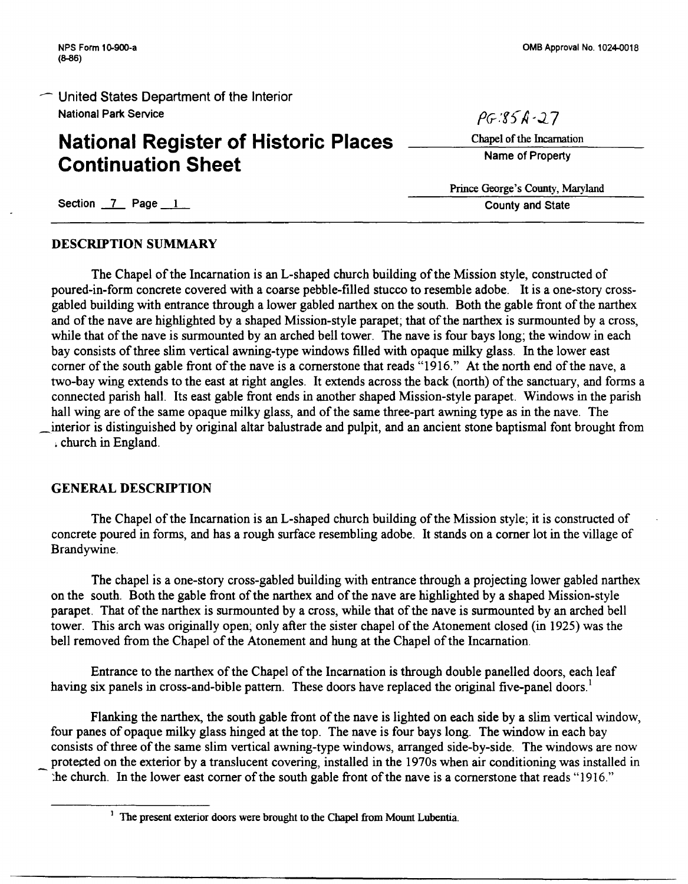# **National Register of Historic Places Continuation Sheet**

 $PG:85A-37$ 

Chapel of the Incarnation

Name of Property

Prince George's County, Maryland County and State

Section 7 Page 1

#### DESCRIPTION SUMMARY

The Chapel of the Incarnation is an L-shaped church building of the Mission style, constructed of poured-in-form concrete covered with a coarse pebble-filled stucco to resemble adobe. It is a one-story crossgabled building with entrance through a lower gabled narthex on the south. Both the gable front of the narthex and of the nave are highlighted by a shaped Mission-style parapet; that of the narthex is surmounted by a cross, while that of the nave is surmounted by an arched bell tower. The nave is four bays long; the window in each bay consists of three slim vertical awning-type windows filled with opaque milky glass. In the lower east corner of the south gable front of the nave is a cornerstone that reads "1916." At the north end of the nave, a two-bay wing extends to the east at right angles. It extends across the back (north) of the sanctuary, and forms a connected parish hall. Its east gable front ends in another shaped Mission-style parapet. Windows in the parish hall wing are of the same opaque milky glass, and of the same three-part awning type as in the nave. The \_interior is distinguished by original altar balustrade and pulpit, and an ancient stone baptismal font brought from , church in England.

### GENERAL DESCRIPTION

The Chapel of the Incarnation is an L-shaped church building of the Mission style; it is constructed of concrete poured in forms, and has a rough surface resembling adobe. It stands on a comer lot in the village of Brandywine.

The chapel is a one-story cross-gabled building with entrance through a projecting lower gabled narthex on the south. Both the gable front of the narthex and of the nave are highlighted by a shaped Mission-style parapet. That of the narthex is surmounted by a cross, while that of the nave is surmounted by an arched bell tower. This arch was originally open; only after the sister chapel of the Atonement closed (in 1925) was the bell removed from the Chapel of the Atonement and hung at the Chapel of the Incarnation.

Entrance to the narthex of the Chapel of the Incarnation is through double panelled doors, each leaf having six panels in cross-and-bible pattern. These doors have replaced the original five-panel doors.<sup>1</sup>

Flanking the narthex, the south gable front of the nave is lighted on each side by a slim vertical window, four panes of opaque milky glass hinged at the top. The nave is four bays long. The window in each bay consists of three of the same slim vertical awning-type windows, arranged side-by-side. The windows are now protected on the exterior by a translucent covering, installed in the 1970s when air conditioning was installed in - :he church. In the lower east comer of the south gable front of the nave is a cornerstone that reads "1916."

<sup>&</sup>lt;sup>1</sup> The present exterior doors were brought to the Chapel from Mount Lubentia.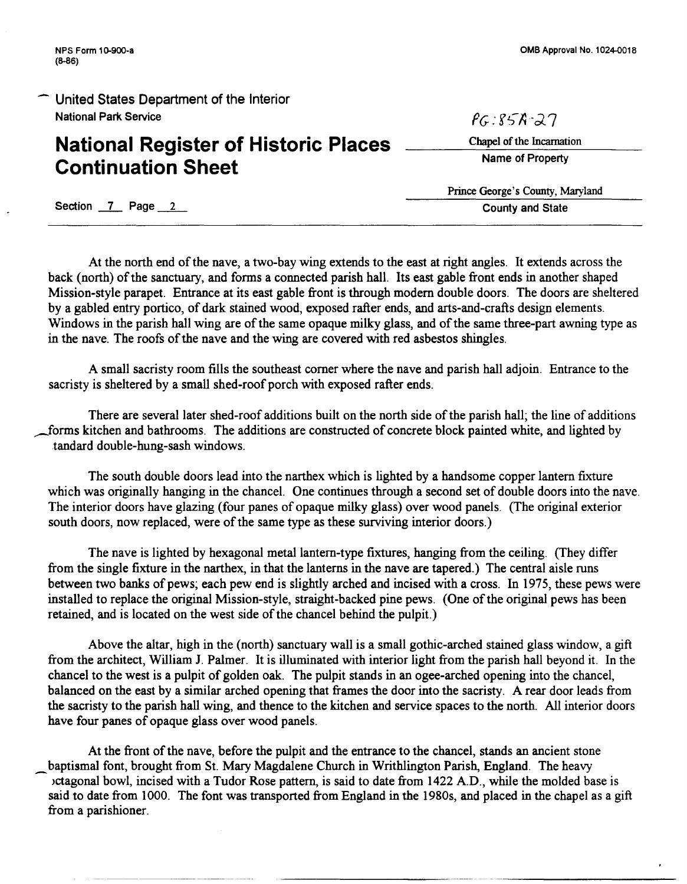# **National Register of Historic Places Continuation Sheet**

OMB Approval No. 1024-0018

Chapel of the Incarnation

*PG:* f *i;-A ·;;).* 7

Name of Property

Prince George's County, Maryland County and State

Section 7 Page 2

At the north end of the nave, a two-bay wing extends to the east at right angles. It extends across the back (north) of the sanctuary, and forms a connected parish hall. Its east gable front ends in another shaped Mission-style parapet. Entrance at its east gable front is through modem double doors. The doors are sheltered by a gabled entry portico, of dark stained wood, exposed rafter ends, and arts-and-crafts design elements. Windows in the parish hall wing are of the same opaque milky glass, and of the same three-part awning type as in the nave. The roofs of the nave and the wing are covered with red asbestos shingles.

A small sacristy room fills the southeast comer where the nave and parish hall adjoin. Entrance to the sacristy is sheltered by a small shed-roof porch with exposed rafter ends.

There are several later shed-roof additions built on the north side of the parish hall; the line of additions forms kitchen and bathrooms. The additions are constructed of concrete block painted white, and lighted by tandard double-hung-sash windows.

The south double doors lead into the narthex which is lighted by a handsome copper lantern fixture which was originally hanging in the chancel. One continues through a second set of double doors into the nave. The interior doors have glazing (four panes of opaque milky glass) over wood panels. (The original exterior south doors, now replaced, were of the same type as these surviving interior doors.)

The nave is lighted by hexagonal metal lantern-type fixtures, hanging from the ceiling. (They differ from the single fixture in the narthex, in that the lanterns in the nave are tapered.) The central aisle runs between two banks of pews; each pew end is slightly arched and incised with a cross. In 1975, these pews were installed to replace the original Mission-style, straight-backed pine pews. (One of the original pews has been retained, and is located on the west side of the chancel behind the pulpit.)

Above the altar, high in the (north) sanctuary wall is a small gothic-arched stained glass window, a gift from the architect, William J. Palmer. It is illuminated with interior light from the parish hall beyond it. In the chancel to the west is a pulpit of golden oak. The pulpit stands in an ogee-arched opening into the chancel, balanced on the east by a similar arched opening that frames the door into the sacristy. A rear door leads from the sacristy to the parish hall wing, and thence to the kitchen and service spaces to the north. All interior doors have four panes of opaque glass over wood panels.

At the front of the nave, before the pulpit and the entrance to the chancel, stands an ancient stone baptismal font, brought from St. Mary Magdalene Church in Writhlington Parish, England. The heavy >ctagonal bowl, incised with a Tudor Rose pattern, is said to date from 1422 AD., while the molded base is said to date from 1000. The font was transported from England in the 1980s, and placed in the chapel as a gift from a parishioner.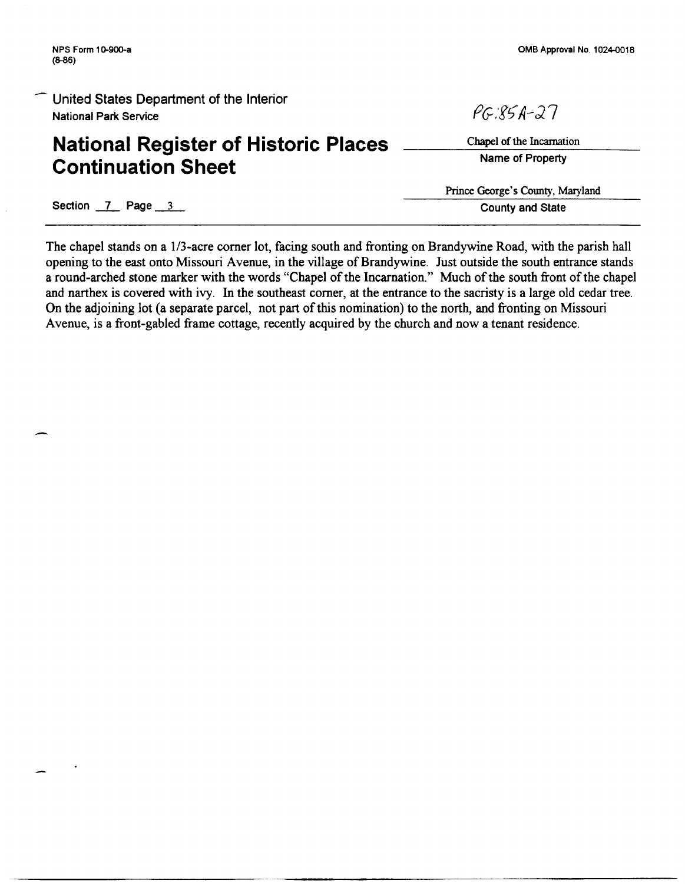# **National Register of Historic Places Continuation Sheet**

OMB Approval No. 1024-0018

Chapel of the Incarnation Name of Property

 $PCRSA-27$ 

Prince George's County, Maryland County and State

Section 7 Page 3

The chapel stands on a 1/3-acre comer lot, facing south and fronting on Brandywine Road, with the parish hall opening to the east onto Missouri Avenue, in the village of Brandywine. Just outside the south entrance stands a round-arched stone marker with the words "Chapel of the Incarnation." Much of the south front of the chapel and narthex is covered with ivy. In the southeast comer, at the entrance to the sacristy is a large old cedar tree. On the adjoining lot (a separate parcel, not part of this nomination) to the north, and fronting on Missouri Avenue, is a front-gabled frame cottage, recently acquired by the church and now a tenant residence.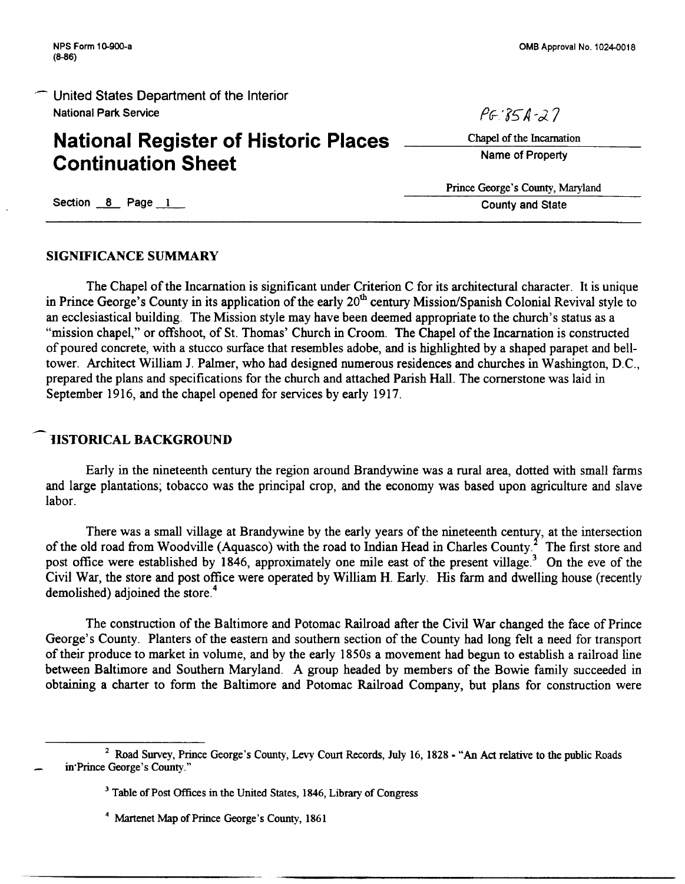## **National Register of Historic Places Continuation Sheet**

 $P6: 850 - 27$ 

Chapel of the Incarnation Name of Property

Prince George's County, Maryland County and State

Section 8 Page 1

#### SIGNIFICANCE SUMMARY

The Chapel of the Incarnation is significant under Criterion C for its architectural character. It is unique in Prince George's County in its application of the early  $20<sup>th</sup>$  century Mission/Spanish Colonial Revival style to an ecclesiastical building. The Mission style may have been deemed appropriate to the church's status as a "mission chapel," or offshoot, of St. Thomas' Church in Croom. The Chapel of the Incarnation is constructed of poured concrete, with a stucco surface that resembles adobe, and is highlighted by a shaped parapet and belltower. Architect William J. Palmer, who had designed numerous residences and churches in Washington, D.C., prepared the plans and specifications for the church and attached Parish Hall. The cornerstone was laid in September 1916, and the chapel opened for services by early 1917.

### 1ISTORICAL BACKGROUND

Early in the nineteenth century the region around Brandywine was a rural area, dotted with small farms and large plantations; tobacco was the principal crop, and the economy was based upon agriculture and slave labor.

There was a small village at Brandywine by the early years of the nineteenth century, at the intersection of the old road from Woodville (Aquasco) with the road to Indian Head in Charles County.<sup>2</sup> The first store and post office were established by 1846, approximately one mile east of the present village.<sup>3</sup> On the eve of the Civil War, the store and post office were operated by William H. Early. His farm and dwelling house (recently demolished) adjoined the store.<sup>4</sup>

The construction of the Baltimore and Potomac Railroad after the Civil War changed the face of Prince George's County. Planters of the eastern and southern section of the County had long felt a need for transport of their produce to market in volume, and by the early 1850s a movement had begun to establish a railroad line between Baltimore and Southern Maryland. A group headed by members of the Bowie family succeeded in obtaining a charter to form the Baltimore and Potomac Railroad Company, but plans for construction were

<sup>&</sup>lt;sup>2</sup> Road Survey, Prince George's County, Levy Court Records, July 16, 1828 - "An Act relative to the public Roads in·Prince George's County."

<sup>&</sup>lt;sup>3</sup> Table of Post Offices in the United States, 1846, Library of Congress

<sup>4</sup> Martenet Map of Prince George's County, 1861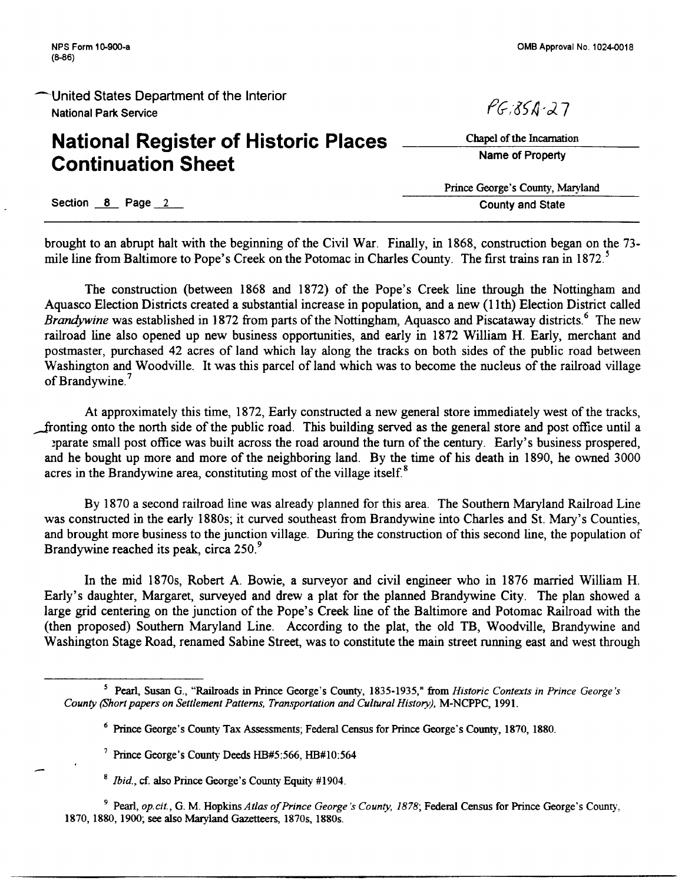# **National Register of Historic Places Continuation Sheet**

 $PC351-27$ 

Chapel of the Incarnation Name of Property

Prince George's County, Maryland County and State

Section 8 Page 2

brought to an abrupt halt with the beginning of the Civil War. Finally, in 1868, construction began on the 73 mile line from Baltimore to Pope's Creek on the Potomac in Charles County. The first trains ran in 1872.<sup>5</sup>

The construction (between 1868 and 1872) of the Pope's Creek line through the Nottingham and Aquasco Election Districts created a substantial increase in population, and a new (11th) Election District called *Brandywine* was established in 1872 from parts of the Nottingham, Aquasco and Piscataway districts.<sup>6</sup> The new railroad line also opened up new business opportunities, and early in 1872 William H. Early, merchant and postmaster, purchased 42 acres of land which lay along the tracks on both sides of the public road between Washington and Woodville. It was this parcel of land which was to become the nucleus of the railroad village of Brandywine.<sup>7</sup>

At approximately this time, 1872, Early constructed a new general store immediately west of the tracks, fronting onto the north side of the public road. This building served as the general store and post office until a ~parate small post office was built across the road around the tum of the century. Early's business prospered, and he bought up more and more of the neighboring land. By the time of his death in 1890, he owned 3000 acres in the Brandywine area, constituting most of the village itself. $8$ 

By 1870 a second railroad line was already planned for this area. The Southern Maryland Railroad Line was constructed in the early 1880s; it curved southeast from Brandywine into Charles and St. Mary's Counties, and brought more business to the junction village. During the construction of this second line, the population of Brandywine reached its peak, circa 250.<sup>9</sup>

In the mid 1870s, Robert A. Bowie, a surveyor and civil engineer who in 1876 married William H. Early's daughter, Margaret, surveyed and drew a plat for the planned Brandywine City. The plan showed a large grid centering on the junction of the Pope's Creek line of the Baltimore and Potomac Railroad with the (then proposed) Southern Maryland Line. According to the plat, the old TB, Woodville, Brandywine and Washington Stage Road, renamed Sabine Street, was to constitute the main street running east and west through

<sup>8</sup>*Ibid.,* cf. also Prince George's County Equity #1904.

9 Pearl, *op.cit.,* G. M. Hopkins *Atlas of Prince George's County, 1878;* Federal Census for Prince George's County, 1870, 1880, 1900; see also Maryland Gazetteers, 1870s, 1880s.

<sup>&</sup>lt;sup>5</sup> Pearl, Susan G., "Railroads in Prince George's County, 1835-1935," from *Historic Contexts in Prince George's County (Short papers on Settlement Patterns, Transportation and Cultural History),* M-NCPPC, 1991.

<sup>&</sup>lt;sup>6</sup> Prince George's County Tax Assessments; Federal Census for Prince George's County, 1870, 1880.

<sup>7</sup> Prince George's County Deeds HB#5:566, HB#I0:564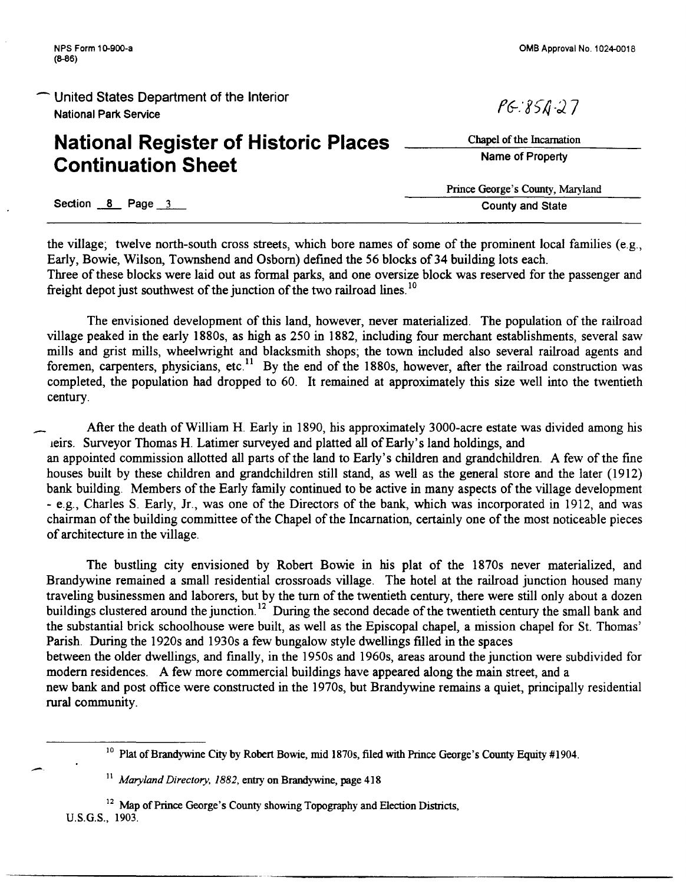# **National Register of Historic Places Continuation Sheet**

Section 8 Page 3 County and State

-·

the village; twelve north-south cross streets, which bore names of some of the prominent local families (e.g., Early, Bowie, Wilson, Townshend and Osborn) defined the 56 blocks of 34 building lots each. Three of these blocks were laid out as formal parks, and one oversize block was reserved for the passenger and freight depot just southwest of the junction of the two railroad lines.<sup>10</sup>

The envisioned development of this land, however, never materialized. The population of the railroad village peaked in the early 1880s, as high as 250 in 1882, including four merchant establishments, several saw mills and grist mills, wheelwright and blacksmith shops; the town included also several railroad agents and foremen, carpenters, physicians, etc.<sup>11</sup> By the end of the 1880s, however, after the railroad construction was completed, the population had dropped to 60. It remained at approximately this size well into the twentieth century.

After the death of William H. Early in 1890, his approximately 3000-acre estate was divided among his 1eirs. Surveyor Thomas H. Latimer surveyed and platted all of Early's land holdings, and an appointed commission allotted all parts of the land to Early's children and grandchildren. A few of the fine

houses built by these children and grandchildren still stand, as well as the general store and the later (1912) bank building. Members of the Early family continued to be active in many aspects of the village development - e.g., Charles S. Early, Jr., was one of the Directors of the bank, which was incorporated in 1912, and was chairman of the building committee of the Chapel of the Incarnation, certainly one of the most noticeable pieces of architecture in the village.

The bustling city envisioned by Robert Bowie in his plat of the 1870s never materialized, and Brandywine remained a small residential crossroads village. The hotel at the railroad junction housed many traveling businessmen and laborers, but by the tum of the twentieth century, there were still only about a dozen buildings clustered around the junction.<sup>12</sup> During the second decade of the twentieth century the small bank and the substantial brick schoolhouse were built, as well as the Episcopal chapel, a mission chapel for St. Thomas' Parish. During the 1920s and 1930s a few bungalow style dwellings filled in the spaces between the older dwellings, and finally, in the 1950s and 1960s, areas around the junction were subdivided for

modern residences. A few more commercial buildings have appeared along the main street, and a

new bank and post office were constructed in the 1970s, but Brandywine remains a quiet, principally residential rural community.

<sup>10</sup> Plat of Brandywine City by Robert Bowie, mid 1870s, filed with Prince George's County Equity #1904.

<sup>11</sup>*Maryland Directory, 1882,* entry on Brandywine, page 418

<sup>12</sup> Map of Prince George's County showing Topography and Election Districts, U.S.G.S., 1903.

OMB Approval No. 1024-0018

 $PC:850.27$ 

Chapel of the Incarnation Name of Property

Prince George's County, Maryland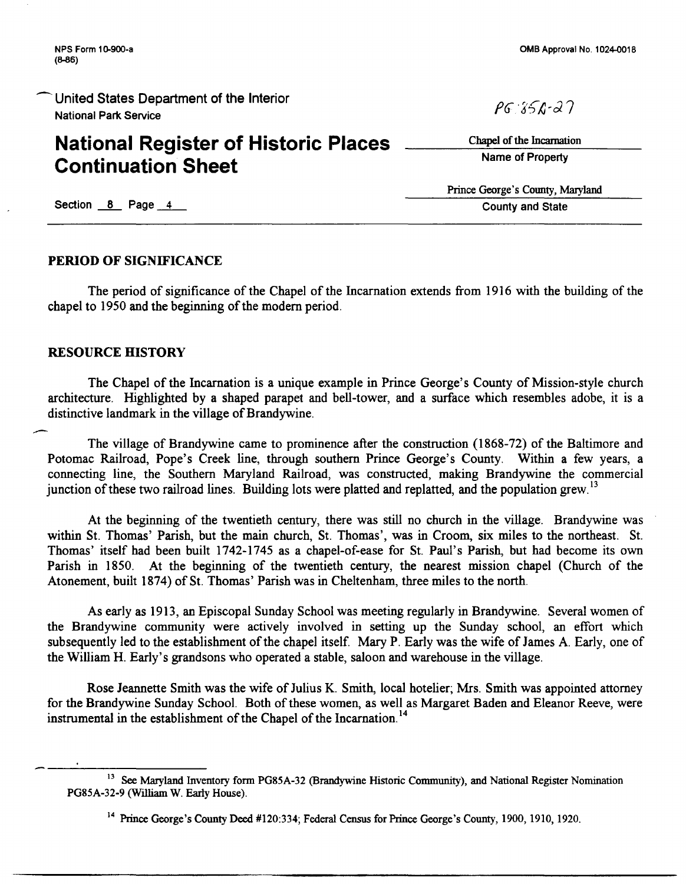# **National Register of Historic Places Continuation Sheet**

 $PG: 856 - 27$ 

Chapel of the Incarnation Name of Property

Prince George's County, Maryland County and State

Section  $8$  Page 4

### PERIOD OF SIGNIFICANCE

The period of significance of the Chapel of the Incarnation extends from 1916 with the building of the chapel to 1950 and the beginning of the modem period.

### RESOURCE HISTORY

The Chapel of the Incarnation is a unique example in Prince George's County of Mission-style church architecture. Highlighted by a shaped parapet and bell-tower, and a surface which resembles adobe, it is a distinctive landmark in the village of Brandywine.

- The village of Brandywine came to prominence after the construction (1868-72) of the Baltimore and Potomac Railroad, Pope's Creek line, through southern Prince George's County. Within a few years, a connecting line, the Southern Maryland Railroad, was constructed, making Brandywine the commercial junction of these two railroad lines. Building lots were platted and replatted, and the population grew.<sup>13</sup>

At the beginning of the twentieth century, there was still no church in the village. Brandywine was within St. Thomas' Parish, but the main church, St. Thomas', was in Croom, six miles to the northeast. St. Thomas' itself had been built 1742-1745 as a chapel-of-ease for St. Paul's Parish, but had become its own Parish in 1850. At the beginning of the twentieth century, the nearest mission chapel (Church of the Atonement, built 1874) of St. Thomas' Parish was in Cheltenham, three miles to the north.

As early as 1913, an Episcopal Sunday School was meeting regularly in Brandywine. Several women of the Brandywine community were actively involved in setting up the Sunday school, an effort which subsequently led to the establishment of the chapel itself. Mary P. Early was the wife of James A. Early, one of the William H. Early's grandsons who operated a stable, saloon and warehouse in the village.

Rose Jeannette Smith was the wife of Julius K. Smith, local hotelier; Mrs. Smith was appointed attorney for the Brandywine Sunday School. Both of these women, as well as Margaret Baden and Eleanor Reeve, were instrumental in the establishment of the Chapel of the Incarnation.<sup>14</sup>

<sup>&</sup>lt;sup>13</sup> See Maryland Inventory form PG85A-32 (Brandywine Historic Community), and National Register Nomination PG85A-32-9 (William W. Early House).

<sup>14</sup> Prince George's County Deed #120:334; Federal Census for Prince George's County, 1900, 1910, 1920.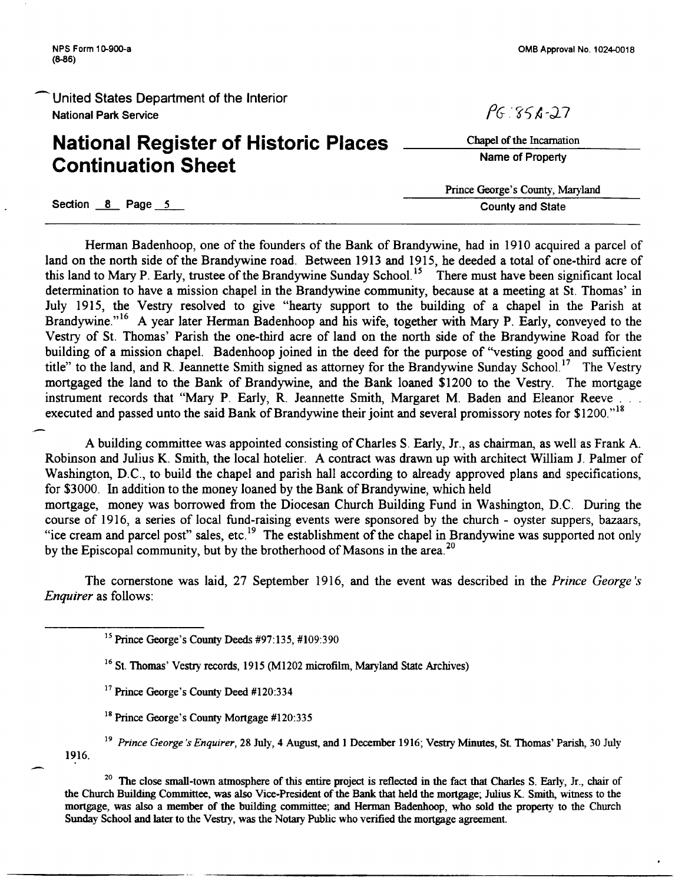OMB Approval No. 1024-0018

United States Department of the Interior National Park Service

## **National Register of Historic Places Continuation Sheet**

 $PG:356-27$ 

Chapel of the Incarnation Name of Property

Prince George's County, Maryland County and State

Section 8 Page 5

Herman Badenhoop, one of the founders of the Bank of Brandywine, had in 1910 acquired a parcel of land on the north side of the Brandywine road. Between 1913 and 1915, he deeded a total of one-third acre of this land to Mary P. Early, trustee of the Brandywine Sunday School.<sup>15</sup> There must have been significant local determination to have a mission chapel in the Brandywine community, because at a meeting at St. Thomas' in July 1915, the Vestry resolved to give "hearty support to the building of a chapel in the Parish at Brandywine."<sup>16</sup> A year later Herman Badenhoop and his wife, together with Mary P. Early, conveyed to the Vestry of St. Thomas' Parish the one-third acre of land on the north side of the Brandywine Road for the building of a mission chapel. Badenhoop joined in the deed for the purpose of "vesting good and sufficient title" to the land, and R. Jeannette Smith signed as attorney for the Brandywine Sunday School.<sup>17</sup> The Vestry mortgaged the land to the Bank of Brandywine, and the Bank loaned \$1200 to the Vestry. The mortgage instrument records that "Mary P. Early, R. Jeannette Smith, Margaret M. Baden and Eleanor Reeve executed and passed unto the said Bank of Brandywine their joint and several promissory notes for \$1200."<sup>18</sup>

A building committee was appointed consisting of Charles S. Early, Jr., as chairman, as well as Frank A. Robinson and Julius K. Smith, the local hotelier. A contract was drawn up with architect William J. Palmer of Washington, D.C., to build the chapel and parish hall according to already approved plans and specifications, for \$3000. In addition to the money loaned by the Bank of Brandywine, which held mortgage, money was borrowed from the Diocesan Church Building Fund in Washington, D.C. During the course of 1916, a series of local fund-raising events were sponsored by the church - oyster suppers, bazaars, "ice cream and parcel post" sales, etc.<sup>19</sup> The establishment of the chapel in Brandywine was supported not only by the Episcopal community, but by the brotherhood of Masons in the area.<sup>20</sup>

The cornerstone was laid, 27 September 1916, and the event was described in the *Prince George 's Enquirer* as follows:

15 Prince George's County Deeds #97:135, #109:390

- <sup>16</sup> St. Thomas' Vestry records, 1915 (M1202 microfilm, Maryland State Archives)
- <sup>17</sup> Prince George's County Deed #120:334
- <sup>18</sup> Prince George's County Mortgage #120:335
- 1916. <sup>19</sup> Prince George's Enquirer, 28 July, 4 August, and 1 December 1916; Vestry Minutes, St. Thomas' Parish, 30 July

<sup>20</sup> The close small-town atmosphere of this entire project is reflected in the fact that Charles S. Early, Jr., chair of the Church Building Committee, was also Vice-President of the Bank that held the mortgage; Julius K. Smith, witness to the mortgage, was also a member of the building committee; and Herman Badenhoop, who sold the property to the Church Sunday School and later to the Vestry, was the Notary Public who verified the mortgage agreement.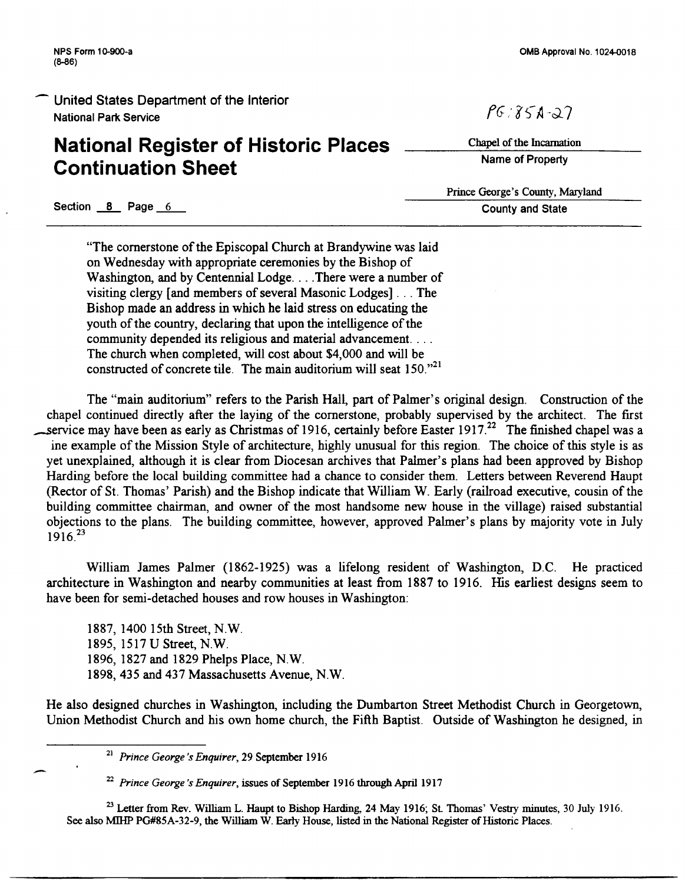NPS Form 10-900-a (8-86)

United States Department of the Interior National Park Service

### **National Register of Historic Places Continuation Sheet**

OMB Approval No. 1024-0018

 $PG: 851 - 27$ 

Chapel of the Incarnation Name of Property

Prince George's County, Maryland County and State

Section 8 Page 6

"The cornerstone of the Episcopal Church at Brandywine was laid on Wednesday with appropriate ceremonies by the Bishop of Washington, and by Centennial Lodge... There were a number of visiting clergy [and members of several Masonic Lodges] ... The Bishop made an address in which he laid stress on educating the youth of the country, declaring that upon the intelligence of the community depended its religious and material advancement. . . . The church when completed, will cost about \$4,000 and will be constructed of concrete tile. The main auditorium will seat  $150.^{21}$ 

The "main auditorium" refers to the Parish Hall, part of Palmer's original design. Construction of the chapel continued directly after the laying of the cornerstone, probably supervised by the architect. The first service may have been as early as Christmas of 1916, certainly before Easter 1917.<sup>22</sup> The finished chapel was a ine example of the Mission Style of architecture, highly unusual for this region. The choice of this style is as yet unexplained, although it is clear from Diocesan archives that Palmer's plans had been approved by Bishop Harding before the local building committee had a chance to consider them. Letters between Reverend Haupt (Rector of St. Thomas' Parish) and the Bishop indicate that William W. Early (railroad executive, cousin of the building committee chairman, and owner of the most handsome new house in the village) raised substantial objections to the plans. The building committee, however, approved Palmer's plans by majority vote in July 1916<sup>23</sup>

William James Palmer (1862-1925) was a lifelong resident of Washington, D.C. He practiced architecture in Washington and nearby communities at least from 1887 to 1916. His earliest designs seem to have been for semi-detached houses and row houses in Washington:

1887, 1400 15th Street, N.W. 1895, 1517 U Street, N.W. 1896, 1827 and 1829 Phelps Place, N.W. 1898, 435 and 437 Massachusetts Avenue, N.W.

He also designed churches in Washington, including the Dumbarton Street Methodist Church in Georgetown, Union Methodist Church and his own home church, the Fifth Baptist. Outside of Washington he designed, in

<sup>21</sup>*Prince George's Enquirer,* 29 September 1916

<sup>22</sup>*Prince George's Enquirer,* issues of September 1916 through April 1917

<sup>23</sup> Letter from Rev. William L. Haupt to Bishop Harding, 24 May 1916; St. Thomas' Vestry minutes, 30 July 1916. See also MillP PG#85A-32-9, the William W. Early House, listed in the National Register of Historic Places.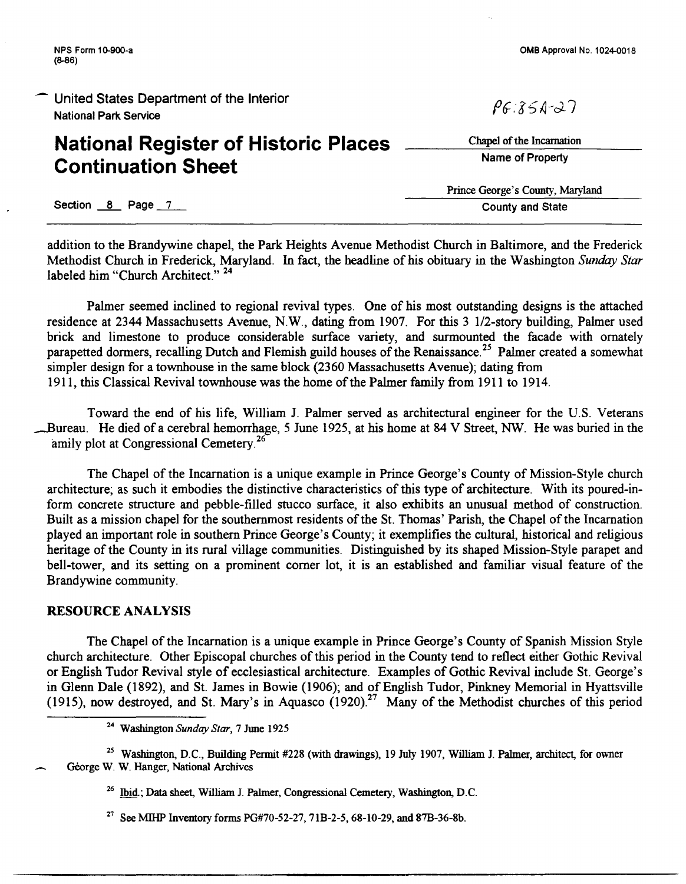# **National Register of Historic Places Continuation Sheet**

Section 8 Page 7

addition to the Brandywine chapel, the Park Heights Avenue Methodist Church in Baltimore, and the Frederick Methodist Church in Frederick, Maryland. In fact, the headline of his obituary in the Washington *Sunday Star*  labeled him "Church Architect."<sup>24</sup>

Palmer seemed inclined to regional revival types. One of his most outstanding designs is the attached residence at 2344 Massachusetts Avenue, N.W., dating from 1907. For this 3 1/2-story building, Palmer used brick and limestone to produce considerable surface variety, and surmounted the facade with ornately parapetted dormers, recalling Dutch and Flemish guild houses of the Renaissance.<sup>25</sup> Palmer created a somewhat simpler design for a townhouse in the same block (2360 Massachusetts Avenue); dating from 1911, this Classical Revival townhouse was the home of the Palmer family from 1911 to 1914.

Toward the end of his life, William J. Palmer served as architectural engineer for the U.S. Veterans Bureau. He died of a cerebral hemorrhage, 5 June 1925, at his home at 84 V Street, NW. He was buried in the amily plot at Congressional Cemetery.<sup>26</sup>

The Chapel of the Incarnation is a unique example in Prince George's County of Mission-Style church architecture; as such it embodies the distinctive characteristics of this type of architecture. With its poured-inform concrete structure and pebble-filled stucco surface, it also exhibits an unusual method of construction. Built as a mission chapel for the southernmost residents of the St. Thomas' Parish, the Chapel of the Incarnation played an important role in southern Prince George's County; it exemplifies the cultural, historical and religious heritage of the County in its rural village communities. Distinguished by its shaped Mission-Style parapet and bell-tower, and its setting on a prominent comer lot, it is an established and familiar visual feature of the Brandywine community.

### RESOURCE ANALYSIS

The Chapel of the Incarnation is a unique example in Prince George's County of Spanish Mission Style church architecture. Other Episcopal churches of this period in the County tend to reflect either Gothic Revival or English Tudor Revival style of ecclesiastical architecture. Examples of Gothic Revival include St. George's in Glenn Dale (1892), and St. James in Bowie (1906); and of English Tudor, Pinkney Memorial in Hyattsville (1915), now destroyed, and St. Mary's in Aquasco  $(1920)^{27}$  Many of the Methodist churches of this period

<sup>25</sup> Washington, D.C., Building Permit #228 (with drawings), 19 July 1907, William J. Palmer, architect, for owner George W. W. Hanger, National Archives

- 26 Ibid.; Data sheet, William J. Palmer, Congressional Cemetery, Washington, D.C.
- <sup>27</sup> See MIHP Inventory forms PG#70-52-27, 71B-2-5, 68-10-29, and 87B-36-8b.

OMB Approval No. 1024-0018

 $P6.851-27$ 

Chapel of the Incarnation Name of Property

Prince George's County, Maryland County and State

<sup>24</sup> Washington *Sunday Star,* 7 June 1925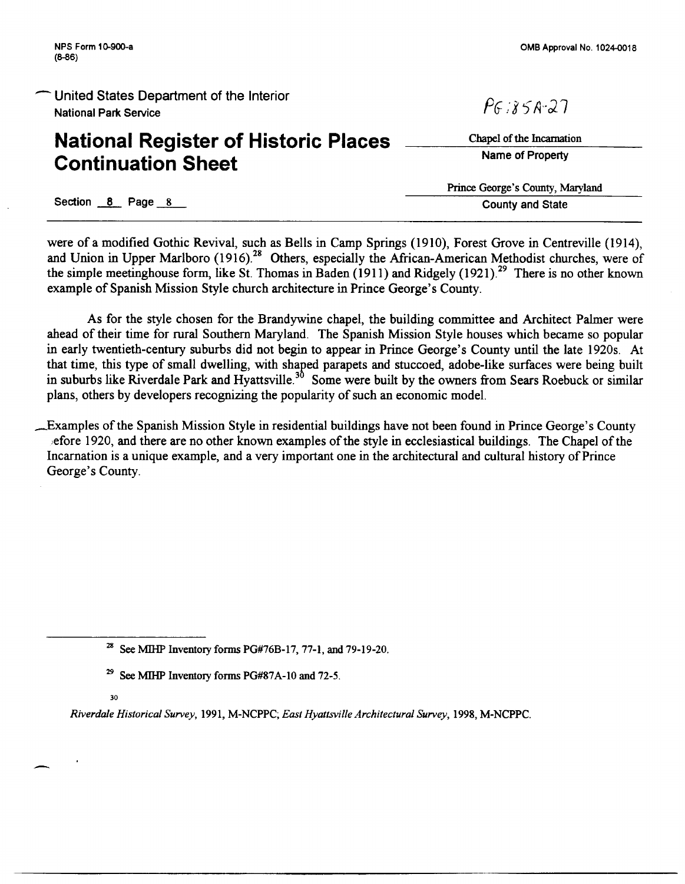# **National Register of Historic Places Continuation Sheet**

 $P6:858:27$ 

Chapel of the Incarnation Name of Property

Prince George's County, Maryland County and State

Section 8 Page 8

were of a modified Gothic Revival, such as Bells in Camp Springs (1910), Forest Grove in Centreville (1914), and Union in Upper Marlboro (1916).<sup>28</sup> Others, especially the African-American Methodist churches, were of the simple meetinghouse form, like St. Thomas in Baden (1911) and Ridgely (1921). 29 There is no other known example of Spanish Mission Style church architecture in Prince George's County.

As for the style chosen for the Brandywine chapel, the building committee and Architect Palmer were ahead of their time for rural Southern Maryland. The Spanish Mission Style houses which became so popular in early twentieth-century suburbs did not begin to appear in Prince George's County until the late 1920s. At that time, this type of small dwelling, with shaged parapets and stuccoed, adobe-like surfaces were being built in suburbs like Riverdale Park and Hyattsville.<sup>30</sup> Some were built by the owners from Sears Roebuck or similar plans, others by developers recognizing the popularity of such an economic model.

\_Examples of the Spanish Mission Style in residential buildings have not been found in Prince George's County iefore 1920, and there are no other known examples of the style in ecclesiastical buildings. The Chapel of the Incarnation is a unique example, and a very important one in the architectural and cultural history of Prince George's County.

30

*Riverdale Historical Survey,* 1991, M-NCPPC; *East Hyattsville Architectural Survey,* 1998, M-NCPPC.

<sup>&</sup>lt;sup>28</sup> See MIHP Inventory forms PG#76B-17, 77-1, and 79-19-20.

<sup>&</sup>lt;sup>29</sup> See MIHP Inventory forms PG#87A-10 and 72-5.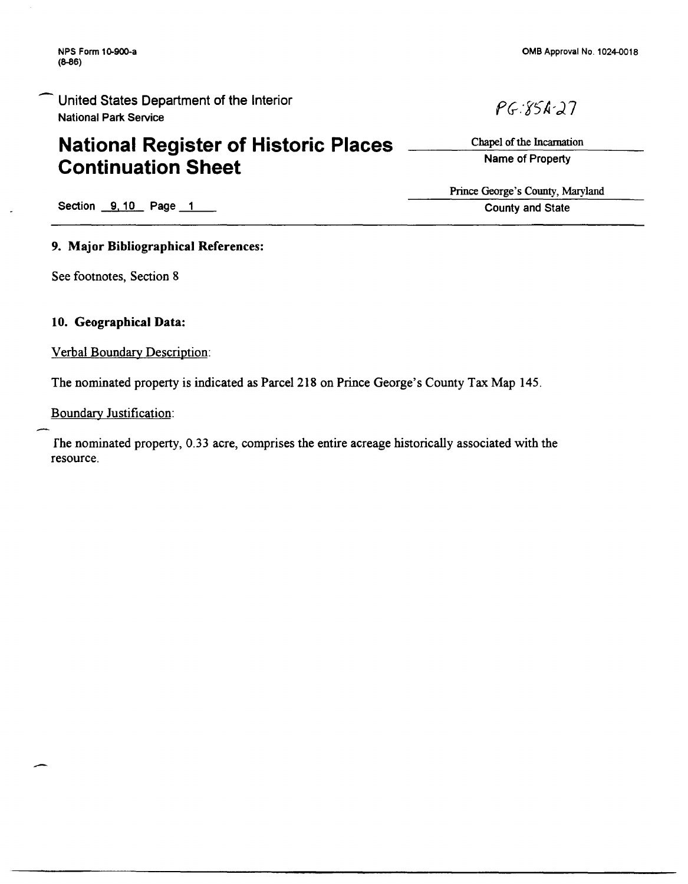NPS Form 10-900-a (8-86)

United States Department of the Interior National Park Service

## **National Register of Historic Places Continuation Sheet**

OMB Approval No. 1024-0018

Chapel of the Incarnation Name of Property

 $PG: 85k-27$ 

Prince George's County, Maryland County and State

Section 9, 10 Page 1

### 9. Major Bibliographical References:

See footnotes, Section 8

### 10. Geographical Data:

Verbal Boundary Description:

The nominated property is indicated as Parcel 218 on Prince George's County Tax Map 145.

Boundary Justification:

fhe nominated property, 0.33 acre, comprises the entire acreage historically associated with the resource.